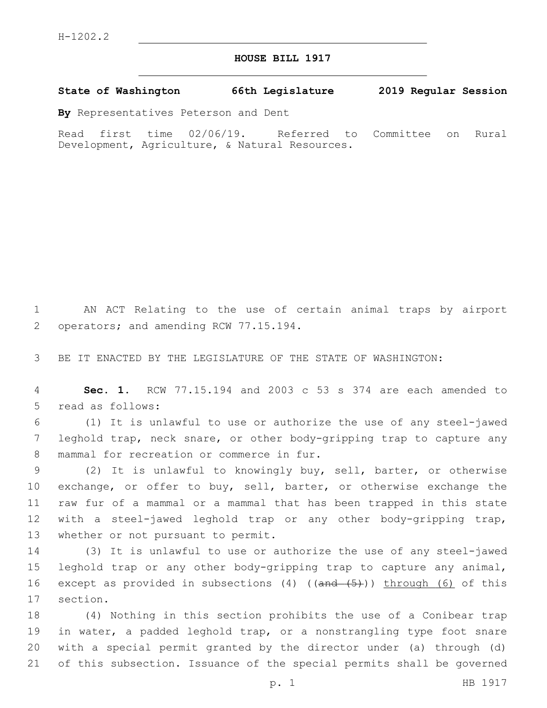## **HOUSE BILL 1917**

## **State of Washington 66th Legislature 2019 Regular Session**

**By** Representatives Peterson and Dent

Read first time 02/06/19. Referred to Committee on Rural Development, Agriculture, & Natural Resources.

1 AN ACT Relating to the use of certain animal traps by airport 2 operators; and amending RCW 77.15.194.

3 BE IT ENACTED BY THE LEGISLATURE OF THE STATE OF WASHINGTON:

4 **Sec. 1.** RCW 77.15.194 and 2003 c 53 s 374 are each amended to 5 read as follows:

6 (1) It is unlawful to use or authorize the use of any steel-jawed 7 leghold trap, neck snare, or other body-gripping trap to capture any 8 mammal for recreation or commerce in fur.

9 (2) It is unlawful to knowingly buy, sell, barter, or otherwise 10 exchange, or offer to buy, sell, barter, or otherwise exchange the 11 raw fur of a mammal or a mammal that has been trapped in this state 12 with a steel-jawed leghold trap or any other body-gripping trap, 13 whether or not pursuant to permit.

14 (3) It is unlawful to use or authorize the use of any steel-jawed 15 leghold trap or any other body-gripping trap to capture any animal, 16 except as provided in subsections (4) ((and (5))) through (6) of this 17 section.

 (4) Nothing in this section prohibits the use of a Conibear trap in water, a padded leghold trap, or a nonstrangling type foot snare with a special permit granted by the director under (a) through (d) of this subsection. Issuance of the special permits shall be governed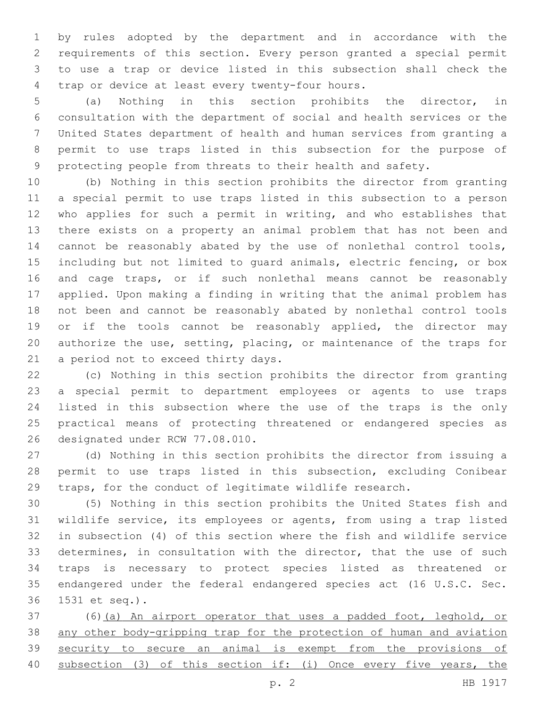by rules adopted by the department and in accordance with the requirements of this section. Every person granted a special permit to use a trap or device listed in this subsection shall check the 4 trap or device at least every twenty-four hours.

 (a) Nothing in this section prohibits the director, in consultation with the department of social and health services or the United States department of health and human services from granting a permit to use traps listed in this subsection for the purpose of protecting people from threats to their health and safety.

 (b) Nothing in this section prohibits the director from granting a special permit to use traps listed in this subsection to a person who applies for such a permit in writing, and who establishes that there exists on a property an animal problem that has not been and cannot be reasonably abated by the use of nonlethal control tools, including but not limited to guard animals, electric fencing, or box and cage traps, or if such nonlethal means cannot be reasonably applied. Upon making a finding in writing that the animal problem has not been and cannot be reasonably abated by nonlethal control tools 19 or if the tools cannot be reasonably applied, the director may authorize the use, setting, placing, or maintenance of the traps for 21 a period not to exceed thirty days.

 (c) Nothing in this section prohibits the director from granting a special permit to department employees or agents to use traps listed in this subsection where the use of the traps is the only practical means of protecting threatened or endangered species as 26 designated under RCW 77.08.010.

 (d) Nothing in this section prohibits the director from issuing a permit to use traps listed in this subsection, excluding Conibear traps, for the conduct of legitimate wildlife research.

 (5) Nothing in this section prohibits the United States fish and wildlife service, its employees or agents, from using a trap listed in subsection (4) of this section where the fish and wildlife service determines, in consultation with the director, that the use of such traps is necessary to protect species listed as threatened or endangered under the federal endangered species act (16 U.S.C. Sec. 1531 et seq.).36

 (6)(a) An airport operator that uses a padded foot, leghold, or any other body-gripping trap for the protection of human and aviation security to secure an animal is exempt from the provisions of subsection (3) of this section if: (i) Once every five years, the